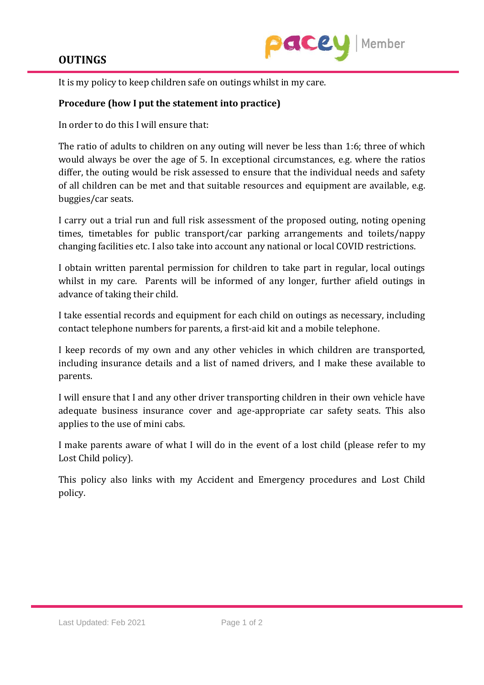## **OUTINGS**



It is my policy to keep children safe on outings whilst in my care.

## **Procedure (how I put the statement into practice)**

In order to do this I will ensure that:

The ratio of adults to children on any outing will never be less than 1:6; three of which would always be over the age of 5. In exceptional circumstances, e.g. where the ratios differ, the outing would be risk assessed to ensure that the individual needs and safety of all children can be met and that suitable resources and equipment are available, e.g. buggies/car seats.

I carry out a trial run and full risk assessment of the proposed outing, noting opening times, timetables for public transport/car parking arrangements and toilets/nappy changing facilities etc. I also take into account any national or local COVID restrictions.

I obtain written parental permission for children to take part in regular, local outings whilst in my care. Parents will be informed of any longer, further afield outings in advance of taking their child.

I take essential records and equipment for each child on outings as necessary, including contact telephone numbers for parents, a first-aid kit and a mobile telephone.

I keep records of my own and any other vehicles in which children are transported, including insurance details and a list of named drivers, and I make these available to parents.

I will ensure that I and any other driver transporting children in their own vehicle have adequate business insurance cover and age-appropriate car safety seats. This also applies to the use of mini cabs.

I make parents aware of what I will do in the event of a lost child (please refer to my Lost Child policy).

This policy also links with my Accident and Emergency procedures and Lost Child policy.